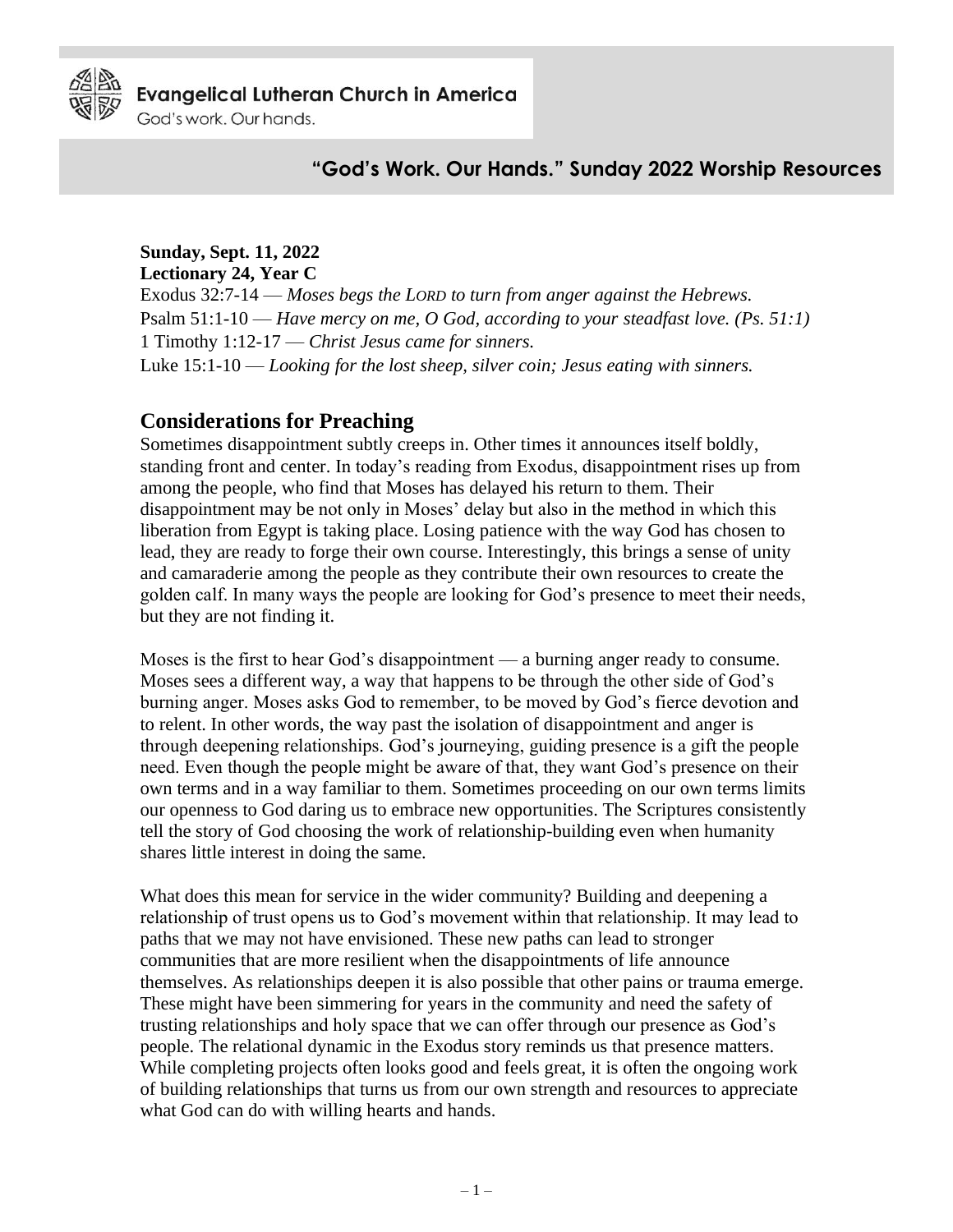

God's work, Our hands.

## **"God's Work. Our Hands." Sunday 2022 Worship Resources**

#### **Sunday, Sept. 11, 2022**

**Lectionary 24, Year C** Exodus 32:7-14 — *Moses begs the LORD to turn from anger against the Hebrews.* Psalm 51:1-10 — *Have mercy on me, O God, according to your steadfast love. (Ps. 51:1)* 1 Timothy 1:12-17 — *Christ Jesus came for sinners.* Luke 15:1-10 — *Looking for the lost sheep, silver coin; Jesus eating with sinners.*

#### **Considerations for Preaching**

Sometimes disappointment subtly creeps in. Other times it announces itself boldly, standing front and center. In today's reading from Exodus, disappointment rises up from among the people, who find that Moses has delayed his return to them. Their disappointment may be not only in Moses' delay but also in the method in which this liberation from Egypt is taking place. Losing patience with the way God has chosen to lead, they are ready to forge their own course. Interestingly, this brings a sense of unity and camaraderie among the people as they contribute their own resources to create the golden calf. In many ways the people are looking for God's presence to meet their needs, but they are not finding it.

Moses is the first to hear God's disappointment — a burning anger ready to consume. Moses sees a different way, a way that happens to be through the other side of God's burning anger. Moses asks God to remember, to be moved by God's fierce devotion and to relent. In other words, the way past the isolation of disappointment and anger is through deepening relationships. God's journeying, guiding presence is a gift the people need. Even though the people might be aware of that, they want God's presence on their own terms and in a way familiar to them. Sometimes proceeding on our own terms limits our openness to God daring us to embrace new opportunities. The Scriptures consistently tell the story of God choosing the work of relationship-building even when humanity shares little interest in doing the same.

What does this mean for service in the wider community? Building and deepening a relationship of trust opens us to God's movement within that relationship. It may lead to paths that we may not have envisioned. These new paths can lead to stronger communities that are more resilient when the disappointments of life announce themselves. As relationships deepen it is also possible that other pains or trauma emerge. These might have been simmering for years in the community and need the safety of trusting relationships and holy space that we can offer through our presence as God's people. The relational dynamic in the Exodus story reminds us that presence matters. While completing projects often looks good and feels great, it is often the ongoing work of building relationships that turns us from our own strength and resources to appreciate what God can do with willing hearts and hands.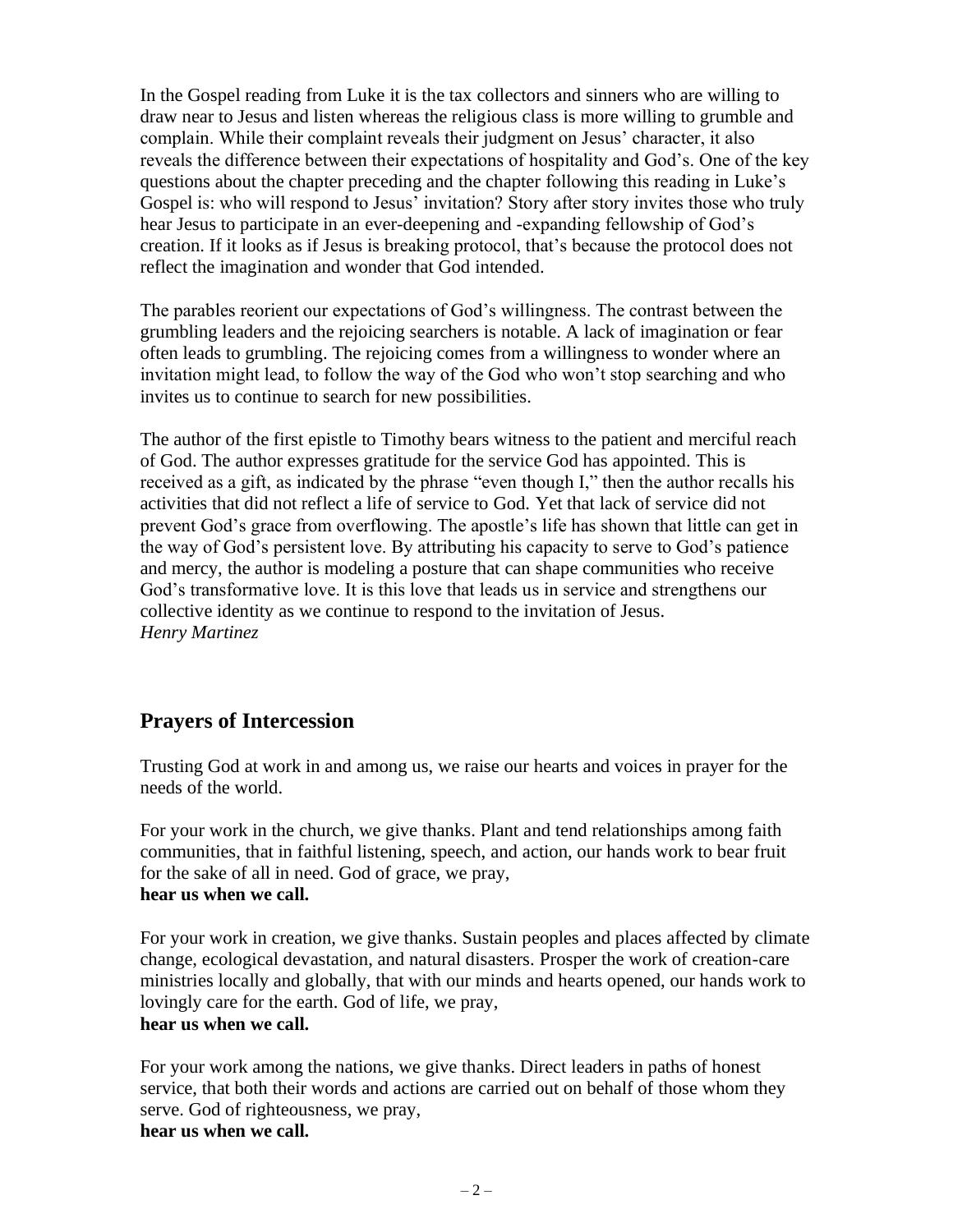In the Gospel reading from Luke it is the tax collectors and sinners who are willing to draw near to Jesus and listen whereas the religious class is more willing to grumble and complain. While their complaint reveals their judgment on Jesus' character, it also reveals the difference between their expectations of hospitality and God's. One of the key questions about the chapter preceding and the chapter following this reading in Luke's Gospel is: who will respond to Jesus' invitation? Story after story invites those who truly hear Jesus to participate in an ever-deepening and -expanding fellowship of God's creation. If it looks as if Jesus is breaking protocol, that's because the protocol does not reflect the imagination and wonder that God intended.

The parables reorient our expectations of God's willingness. The contrast between the grumbling leaders and the rejoicing searchers is notable. A lack of imagination or fear often leads to grumbling. The rejoicing comes from a willingness to wonder where an invitation might lead, to follow the way of the God who won't stop searching and who invites us to continue to search for new possibilities.

The author of the first epistle to Timothy bears witness to the patient and merciful reach of God. The author expresses gratitude for the service God has appointed. This is received as a gift, as indicated by the phrase "even though I," then the author recalls his activities that did not reflect a life of service to God. Yet that lack of service did not prevent God's grace from overflowing. The apostle's life has shown that little can get in the way of God's persistent love. By attributing his capacity to serve to God's patience and mercy, the author is modeling a posture that can shape communities who receive God's transformative love. It is this love that leads us in service and strengthens our collective identity as we continue to respond to the invitation of Jesus. *Henry Martinez*

# **Prayers of Intercession**

Trusting God at work in and among us, we raise our hearts and voices in prayer for the needs of the world.

For your work in the church, we give thanks. Plant and tend relationships among faith communities, that in faithful listening, speech, and action, our hands work to bear fruit for the sake of all in need. God of grace, we pray, **hear us when we call.**

For your work in creation, we give thanks. Sustain peoples and places affected by climate change, ecological devastation, and natural disasters. Prosper the work of creation-care ministries locally and globally, that with our minds and hearts opened, our hands work to lovingly care for the earth. God of life, we pray, **hear us when we call.**

For your work among the nations, we give thanks. Direct leaders in paths of honest service, that both their words and actions are carried out on behalf of those whom they serve. God of righteousness, we pray, **hear us when we call.**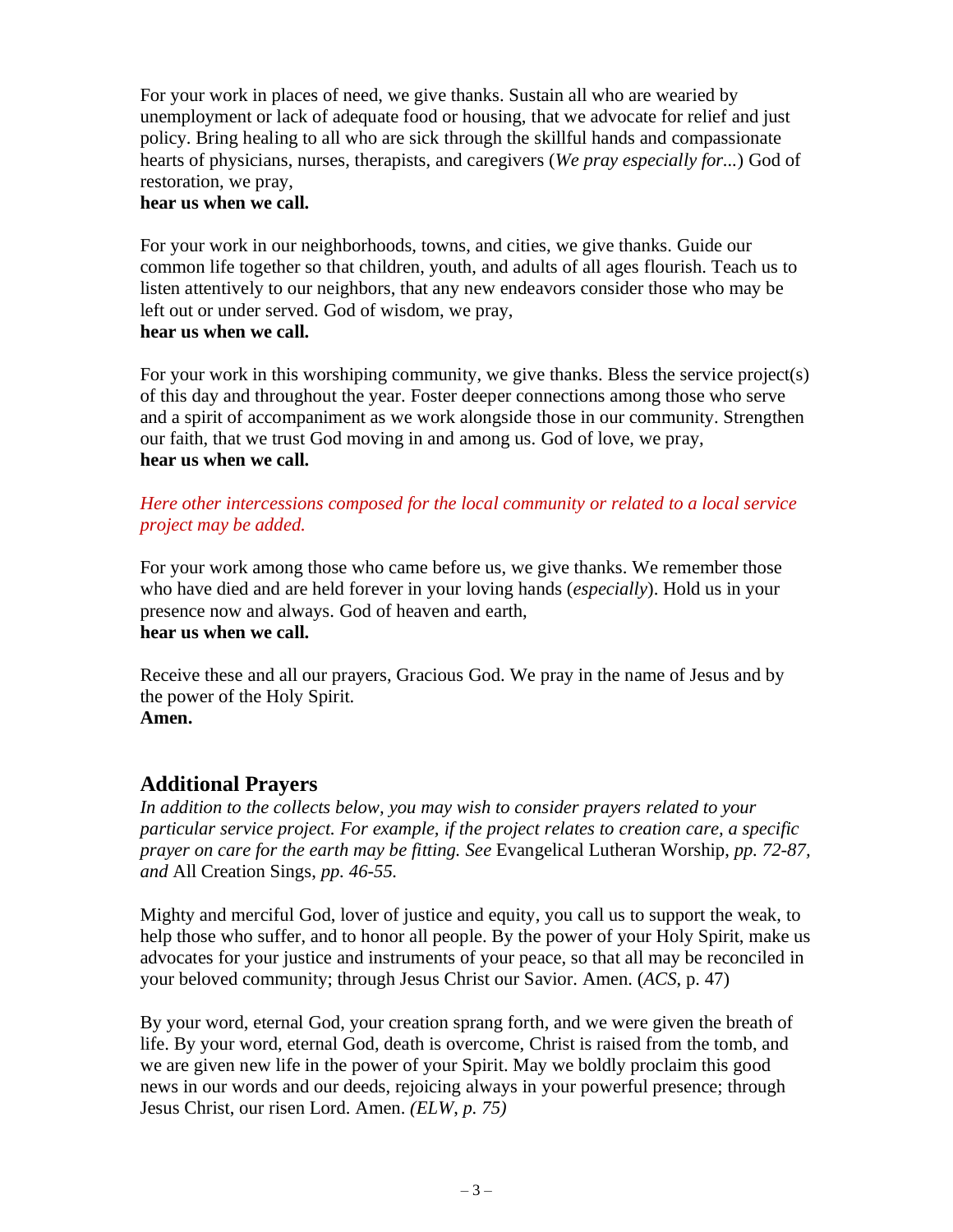For your work in places of need, we give thanks. Sustain all who are wearied by unemployment or lack of adequate food or housing, that we advocate for relief and just policy. Bring healing to all who are sick through the skillful hands and compassionate hearts of physicians, nurses, therapists, and caregivers (*We pray especially for...*) God of restoration, we pray,

#### **hear us when we call.**

For your work in our neighborhoods, towns, and cities, we give thanks. Guide our common life together so that children, youth, and adults of all ages flourish. Teach us to listen attentively to our neighbors, that any new endeavors consider those who may be left out or under served. God of wisdom, we pray, **hear us when we call.**

For your work in this worshiping community, we give thanks. Bless the service project(s) of this day and throughout the year. Foster deeper connections among those who serve and a spirit of accompaniment as we work alongside those in our community. Strengthen our faith, that we trust God moving in and among us. God of love, we pray, **hear us when we call.**

### *Here other intercessions composed for the local community or related to a local service project may be added.*

For your work among those who came before us, we give thanks. We remember those who have died and are held forever in your loving hands (*especially*). Hold us in your presence now and always. God of heaven and earth, **hear us when we call.**

Receive these and all our prayers, Gracious God. We pray in the name of Jesus and by the power of the Holy Spirit. **Amen.**

# **Additional Prayers**

*In addition to the collects below, you may wish to consider prayers related to your particular service project. For example, if the project relates to creation care, a specific prayer on care for the earth may be fitting. See* Evangelical Lutheran Worship, *pp. 72-87, and* All Creation Sings, *pp. 46-55.*

Mighty and merciful God, lover of justice and equity, you call us to support the weak, to help those who suffer, and to honor all people. By the power of your Holy Spirit, make us advocates for your justice and instruments of your peace, so that all may be reconciled in your beloved community; through Jesus Christ our Savior. Amen. (*ACS*, p. 47)

By your word, eternal God, your creation sprang forth, and we were given the breath of life. By your word, eternal God, death is overcome, Christ is raised from the tomb, and we are given new life in the power of your Spirit. May we boldly proclaim this good news in our words and our deeds, rejoicing always in your powerful presence; through Jesus Christ, our risen Lord. Amen. *(ELW*, *p. 75)*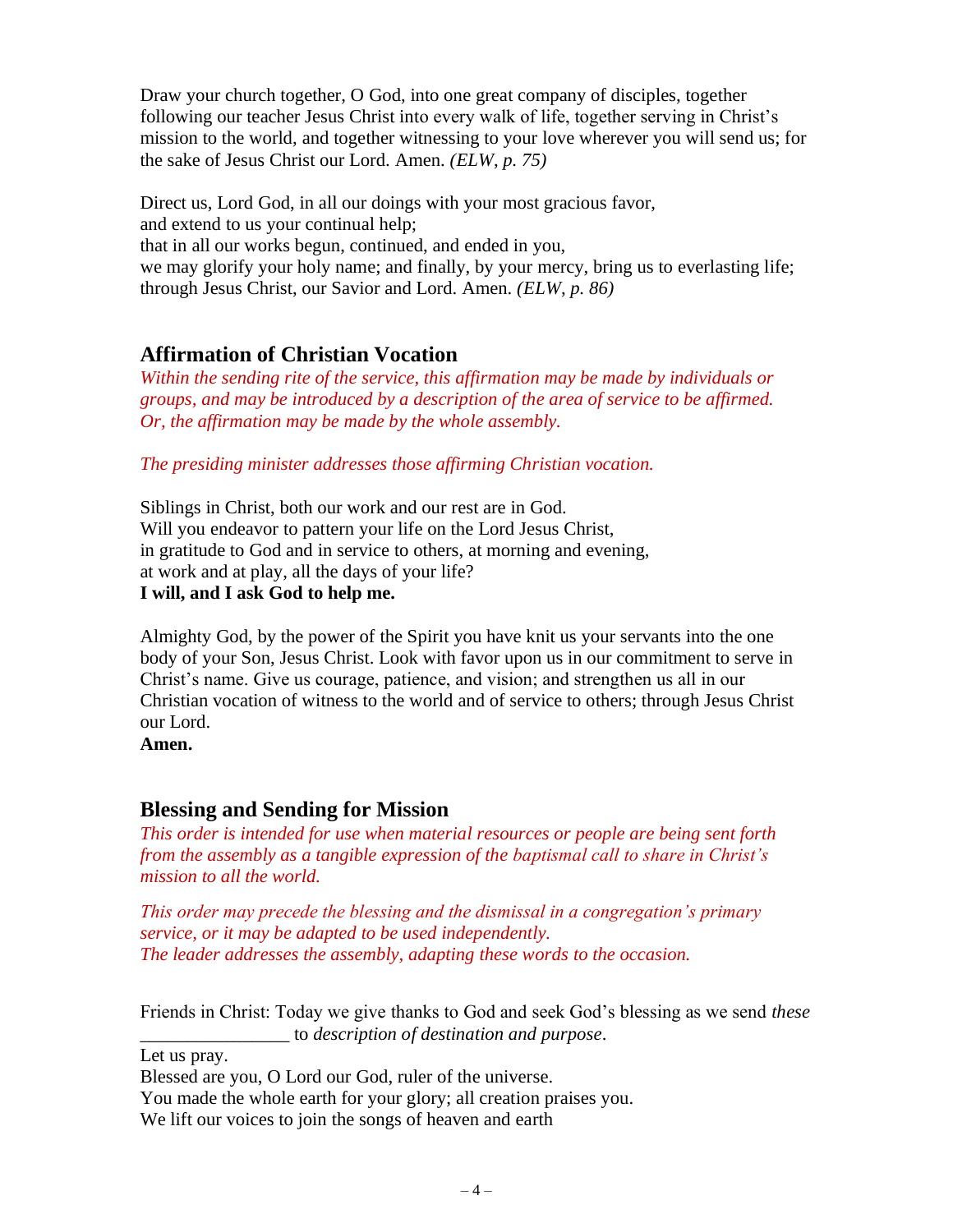Draw your church together, O God, into one great company of disciples, together following our teacher Jesus Christ into every walk of life, together serving in Christ's mission to the world, and together witnessing to your love wherever you will send us; for the sake of Jesus Christ our Lord. Amen. *(ELW*, *p. 75)*

Direct us, Lord God, in all our doings with your most gracious favor, and extend to us your continual help; that in all our works begun, continued, and ended in you, we may glorify your holy name; and finally, by your mercy, bring us to everlasting life; through Jesus Christ, our Savior and Lord. Amen. *(ELW*, *p. 86)*

# **Affirmation of Christian Vocation**

*Within the sending rite of the service, this affirmation may be made by individuals or groups, and may be introduced by a description of the area of service to be affirmed. Or, the affirmation may be made by the whole assembly.*

*The presiding minister addresses those affirming Christian vocation.*

Siblings in Christ, both our work and our rest are in God. Will you endeavor to pattern your life on the Lord Jesus Christ, in gratitude to God and in service to others, at morning and evening, at work and at play, all the days of your life? **I will, and I ask God to help me.**

Almighty God, by the power of the Spirit you have knit us your servants into the one body of your Son, Jesus Christ. Look with favor upon us in our commitment to serve in Christ's name. Give us courage, patience, and vision; and strengthen us all in our Christian vocation of witness to the world and of service to others; through Jesus Christ our Lord.

**Amen.**

## **Blessing and Sending for Mission**

*This order is intended for use when material resources or people are being sent forth from the assembly as a tangible expression of the baptismal call to share in Christ's mission to all the world.*

*This order may precede the blessing and the dismissal in a congregation's primary service, or it may be adapted to be used independently. The leader addresses the assembly, adapting these words to the occasion.*

Friends in Christ: Today we give thanks to God and seek God's blessing as we send *these* \_\_\_\_\_\_\_\_\_\_\_\_\_\_\_\_ to *description of destination and purpose*.

Let us pray.

Blessed are you, O Lord our God, ruler of the universe.

You made the whole earth for your glory; all creation praises you.

We lift our voices to join the songs of heaven and earth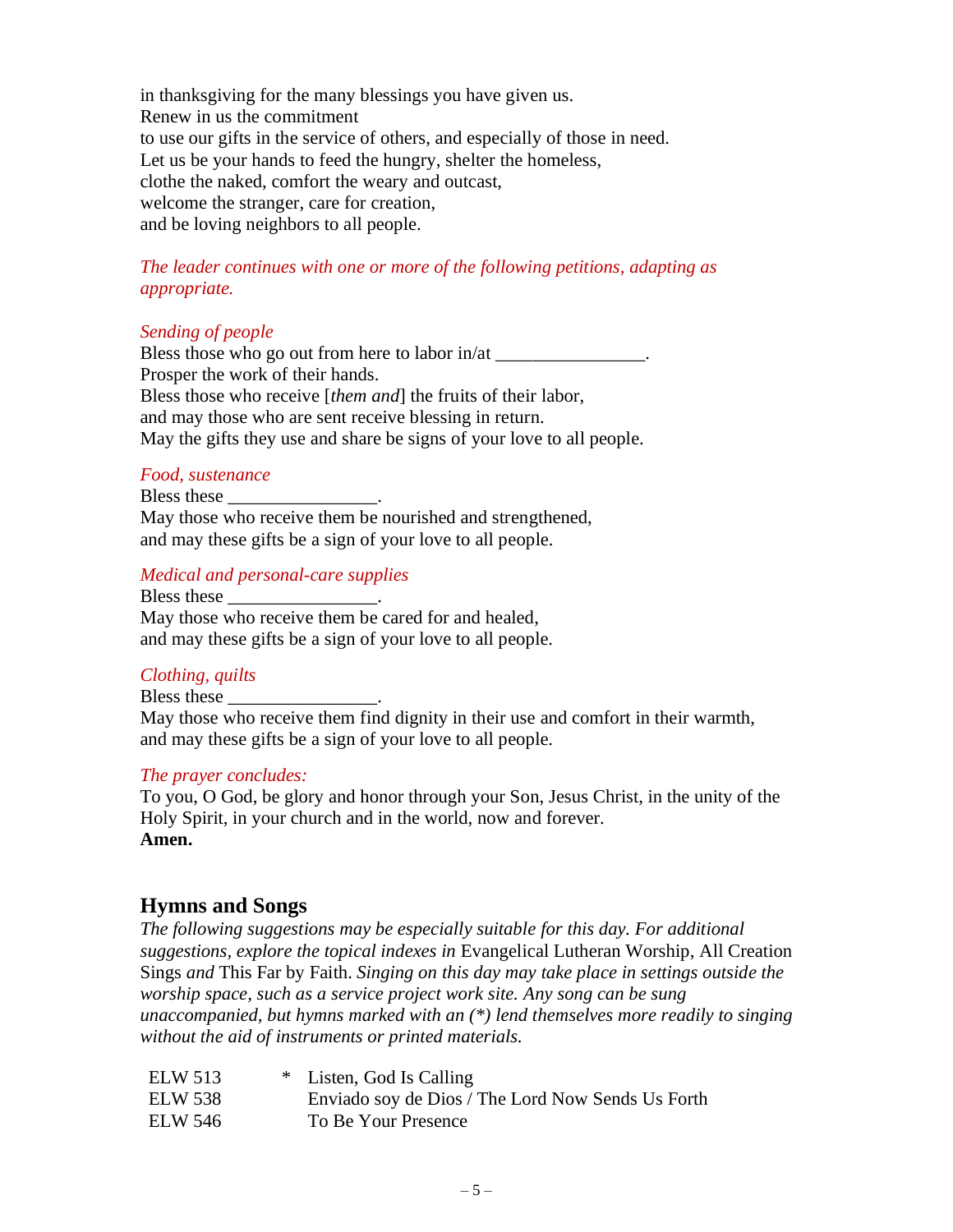in thanksgiving for the many blessings you have given us. Renew in us the commitment to use our gifts in the service of others, and especially of those in need. Let us be your hands to feed the hungry, shelter the homeless, clothe the naked, comfort the weary and outcast, welcome the stranger, care for creation, and be loving neighbors to all people.

### *The leader continues with one or more of the following petitions, adapting as appropriate.*

#### *Sending of people*

Bless those who go out from here to labor in/at \_\_\_\_\_\_\_\_\_\_\_\_\_\_\_. Prosper the work of their hands. Bless those who receive [*them and*] the fruits of their labor, and may those who are sent receive blessing in return. May the gifts they use and share be signs of your love to all people.

#### *Food, sustenance*

Bless these May those who receive them be nourished and strengthened, and may these gifts be a sign of your love to all people.

#### *Medical and personal-care supplies*

Bless these \_\_\_\_\_\_\_\_\_\_\_\_\_\_\_\_\_. May those who receive them be cared for and healed, and may these gifts be a sign of your love to all people.

#### *Clothing, quilts*

Bless these

May those who receive them find dignity in their use and comfort in their warmth, and may these gifts be a sign of your love to all people.

#### *The prayer concludes:*

To you, O God, be glory and honor through your Son, Jesus Christ, in the unity of the Holy Spirit, in your church and in the world, now and forever. **Amen.**

## **Hymns and Songs**

*The following suggestions may be especially suitable for this day. For additional suggestions, explore the topical indexes in* Evangelical Lutheran Worship, All Creation Sings *and* This Far by Faith. *Singing on this day may take place in settings outside the worship space, such as a service project work site. Any song can be sung unaccompanied, but hymns marked with an (\*) lend themselves more readily to singing without the aid of instruments or printed materials.* 

| <b>ELW 513</b> | * Listen, God Is Calling                          |
|----------------|---------------------------------------------------|
| <b>ELW 538</b> | Enviado soy de Dios / The Lord Now Sends Us Forth |
| <b>ELW 546</b> | To Be Your Presence                               |